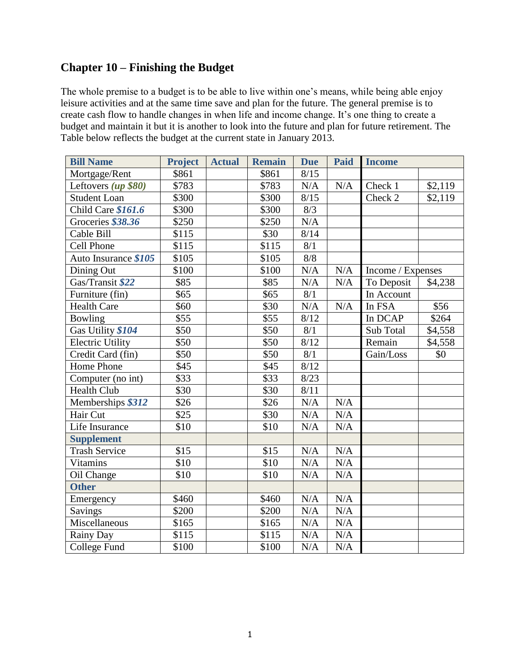# **Chapter 10 – Finishing the Budget**

The whole premise to a budget is to be able to live within one's means, while being able enjoy leisure activities and at the same time save and plan for the future. The general premise is to create cash flow to handle changes in when life and income change. It's one thing to create a budget and maintain it but it is another to look into the future and plan for future retirement. The Table below reflects the budget at the current state in January 2013.

| <b>Bill Name</b>        | <b>Project</b> | <b>Actual</b> | <b>Remain</b> | <b>Due</b> | <b>Paid</b> | <b>Income</b>     |         |
|-------------------------|----------------|---------------|---------------|------------|-------------|-------------------|---------|
| Mortgage/Rent           | \$861          |               | \$861         | 8/15       |             |                   |         |
| Leftovers (up \$80)     | \$783          |               | \$783         | N/A        | $\rm N/A$   | Check 1           | \$2,119 |
| <b>Student Loan</b>     | \$300          |               | \$300         | 8/15       |             | Check 2           | \$2,119 |
| Child Care \$161.6      | \$300          |               | \$300         | 8/3        |             |                   |         |
| Groceries \$38.36       | \$250          |               | \$250         | N/A        |             |                   |         |
| Cable Bill              | \$115          |               | \$30          | 8/14       |             |                   |         |
| <b>Cell Phone</b>       | \$115          |               | \$115         | 8/1        |             |                   |         |
| Auto Insurance \$105    | \$105          |               | \$105         | 8/8        |             |                   |         |
| Dining Out              | \$100          |               | \$100         | N/A        | N/A         | Income / Expenses |         |
| Gas/Transit \$22        | \$85           |               | \$85          | N/A        | N/A         | To Deposit        | \$4,238 |
| Furniture (fin)         | \$65           |               | \$65          | 8/1        |             | In Account        |         |
| <b>Health Care</b>      | \$60           |               | \$30          | N/A        | N/A         | In FSA            | \$56    |
| Bowling                 | \$55           |               | \$55          | 8/12       |             | In DCAP           | \$264   |
| Gas Utility \$104       | \$50           |               | \$50          | 8/1        |             | Sub Total         | \$4,558 |
| <b>Electric Utility</b> | \$50           |               | \$50          | 8/12       |             | Remain            | \$4,558 |
| Credit Card (fin)       | \$50           |               | \$50          | 8/1        |             | Gain/Loss         | \$0     |
| Home Phone              | \$45           |               | \$45          | 8/12       |             |                   |         |
| Computer (no int)       | \$33           |               | \$33          | 8/23       |             |                   |         |
| <b>Health Club</b>      | \$30           |               | \$30          | 8/11       |             |                   |         |
| Memberships \$312       | \$26           |               | \$26          | N/A        | $\rm N/A$   |                   |         |
| Hair Cut                | \$25           |               | \$30          | N/A        | $\rm N/A$   |                   |         |
| Life Insurance          | \$10           |               | \$10          | N/A        | $\rm N/A$   |                   |         |
| <b>Supplement</b>       |                |               |               |            |             |                   |         |
| <b>Trash Service</b>    | \$15           |               | \$15          | N/A        | N/A         |                   |         |
| Vitamins                | \$10           |               | \$10          | N/A        | N/A         |                   |         |
| Oil Change              | \$10           |               | \$10          | N/A        | N/A         |                   |         |
| <b>Other</b>            |                |               |               |            |             |                   |         |
| Emergency               | \$460          |               | \$460         | N/A        | N/A         |                   |         |
| Savings                 | \$200          |               | \$200         | N/A        | N/A         |                   |         |
| Miscellaneous           | \$165          |               | \$165         | N/A        | N/A         |                   |         |
| Rainy Day               | \$115          |               | \$115         | N/A        | $\rm N/A$   |                   |         |
| College Fund            | \$100          |               | \$100         | N/A        | N/A         |                   |         |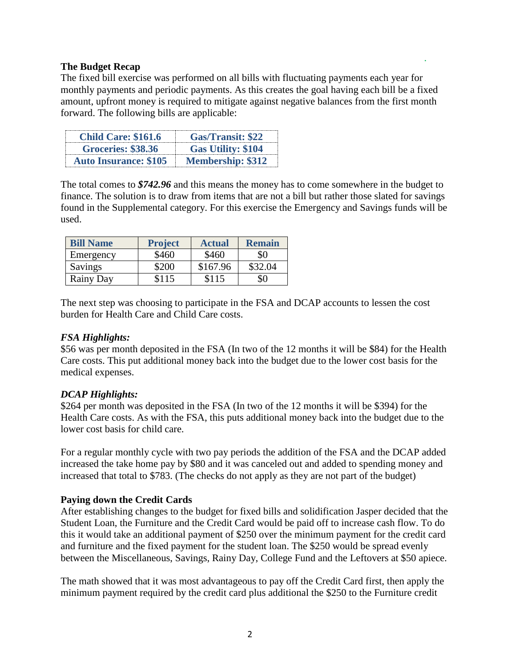#### **The Budget Recap**

The fixed bill exercise was performed on all bills with fluctuating payments each year for monthly payments and periodic payments. As this creates the goal having each bill be a fixed amount, upfront money is required to mitigate against negative balances from the first month forward. The following bills are applicable:

| <b>Child Care: \$161.6</b>   | <b>Gas/Transit: \$22</b>  |
|------------------------------|---------------------------|
| <b>Groceries: \$38.36</b>    | <b>Gas Utility: \$104</b> |
| <b>Auto Insurance: \$105</b> | <b>Membership: \$312</b>  |

The total comes to *\$742.96* and this means the money has to come somewhere in the budget to finance. The solution is to draw from items that are not a bill but rather those slated for savings found in the Supplemental category. For this exercise the Emergency and Savings funds will be used.

| <b>Bill Name</b> | <b>Project</b> | <b>Actual</b> | <b>Remain</b> |
|------------------|----------------|---------------|---------------|
| Emergency        | \$460          | \$460         | \$0           |
| Savings          | \$200          | \$167.96      | \$32.04       |
| Rainy Day        | \$115          | \$115         | \$0           |

The next step was choosing to participate in the FSA and DCAP accounts to lessen the cost burden for Health Care and Child Care costs.

# *FSA Highlights:*

\$56 was per month deposited in the FSA (In two of the 12 months it will be \$84) for the Health Care costs. This put additional money back into the budget due to the lower cost basis for the medical expenses.

# *DCAP Highlights:*

\$264 per month was deposited in the FSA (In two of the 12 months it will be \$394) for the Health Care costs. As with the FSA, this puts additional money back into the budget due to the lower cost basis for child care.

For a regular monthly cycle with two pay periods the addition of the FSA and the DCAP added increased the take home pay by \$80 and it was canceled out and added to spending money and increased that total to \$783. (The checks do not apply as they are not part of the budget)

# **Paying down the Credit Cards**

After establishing changes to the budget for fixed bills and solidification Jasper decided that the Student Loan, the Furniture and the Credit Card would be paid off to increase cash flow. To do this it would take an additional payment of \$250 over the minimum payment for the credit card and furniture and the fixed payment for the student loan. The \$250 would be spread evenly between the Miscellaneous, Savings, Rainy Day, College Fund and the Leftovers at \$50 apiece.

The math showed that it was most advantageous to pay off the Credit Card first, then apply the minimum payment required by the credit card plus additional the \$250 to the Furniture credit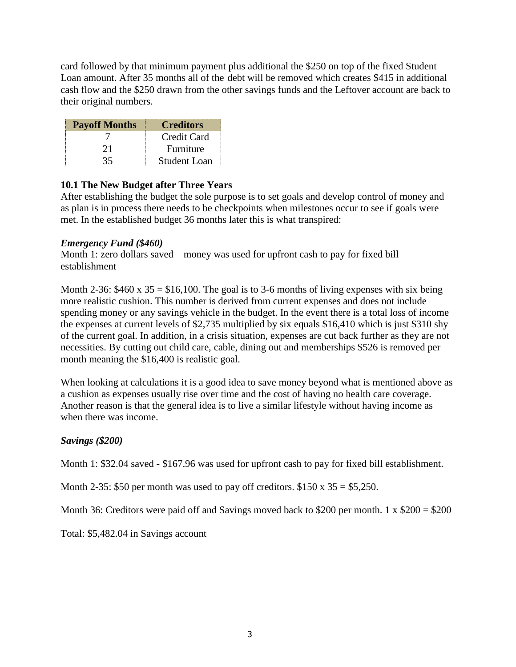card followed by that minimum payment plus additional the \$250 on top of the fixed Student Loan amount. After 35 months all of the debt will be removed which creates \$415 in additional cash flow and the \$250 drawn from the other savings funds and the Leftover account are back to their original numbers.

| <b>Payoff Months</b> | <b>Creditors</b> |
|----------------------|------------------|
|                      | Credit Card      |
|                      | Furniture        |
|                      | Student Loan     |

# **10.1 The New Budget after Three Years**

After establishing the budget the sole purpose is to set goals and develop control of money and as plan is in process there needs to be checkpoints when milestones occur to see if goals were met. In the established budget 36 months later this is what transpired:

# *Emergency Fund (\$460)*

Month 1: zero dollars saved – money was used for upfront cash to pay for fixed bill establishment

Month 2-36:  $$460 \times 35 = $16,100$ . The goal is to 3-6 months of living expenses with six being more realistic cushion. This number is derived from current expenses and does not include spending money or any savings vehicle in the budget. In the event there is a total loss of income the expenses at current levels of \$2,735 multiplied by six equals \$16,410 which is just \$310 shy of the current goal. In addition, in a crisis situation, expenses are cut back further as they are not necessities. By cutting out child care, cable, dining out and memberships \$526 is removed per month meaning the \$16,400 is realistic goal.

When looking at calculations it is a good idea to save money beyond what is mentioned above as a cushion as expenses usually rise over time and the cost of having no health care coverage. Another reason is that the general idea is to live a similar lifestyle without having income as when there was income.

# *Savings (\$200)*

Month 1: \$32.04 saved - \$167.96 was used for upfront cash to pay for fixed bill establishment.

Month 2-35: \$50 per month was used to pay off creditors.  $$150 \times 35 = $5,250$ .

Month 36: Creditors were paid off and Savings moved back to \$200 per month. 1 x  $$200 = $200$ 

Total: \$5,482.04 in Savings account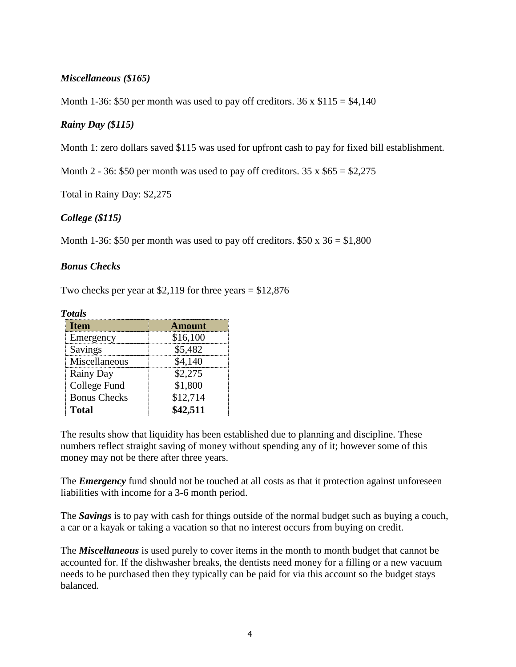# *Miscellaneous (\$165)*

Month 1-36: \$50 per month was used to pay off creditors.  $36 \times $115 = $4,140$ 

# *Rainy Day (\$115)*

Month 1: zero dollars saved \$115 was used for upfront cash to pay for fixed bill establishment.

Month 2 - 36: \$50 per month was used to pay off creditors.  $35 \times $65 = $2,275$ 

Total in Rainy Day: \$2,275

# *College (\$115)*

Month 1-36: \$50 per month was used to pay off creditors.  $$50 \times 36 = $1,800$ 

#### *Bonus Checks*

Two checks per year at \$2,119 for three years  $= $12,876$ 

| <b>Totals</b>       |               |
|---------------------|---------------|
| <b>Item</b>         | <b>Amount</b> |
| Emergency           | \$16,100      |
| Savings             | \$5,482       |
| Miscellaneous       | \$4,140       |
| Rainy Day           | \$2,275       |
| College Fund        | \$1,800       |
| <b>Bonus Checks</b> | \$12,714      |
| Total               | \$42,511      |

The results show that liquidity has been established due to planning and discipline. These numbers reflect straight saving of money without spending any of it; however some of this money may not be there after three years.

The *Emergency* fund should not be touched at all costs as that it protection against unforeseen liabilities with income for a 3-6 month period.

The *Savings* is to pay with cash for things outside of the normal budget such as buying a couch, a car or a kayak or taking a vacation so that no interest occurs from buying on credit.

The *Miscellaneous* is used purely to cover items in the month to month budget that cannot be accounted for. If the dishwasher breaks, the dentists need money for a filling or a new vacuum needs to be purchased then they typically can be paid for via this account so the budget stays balanced.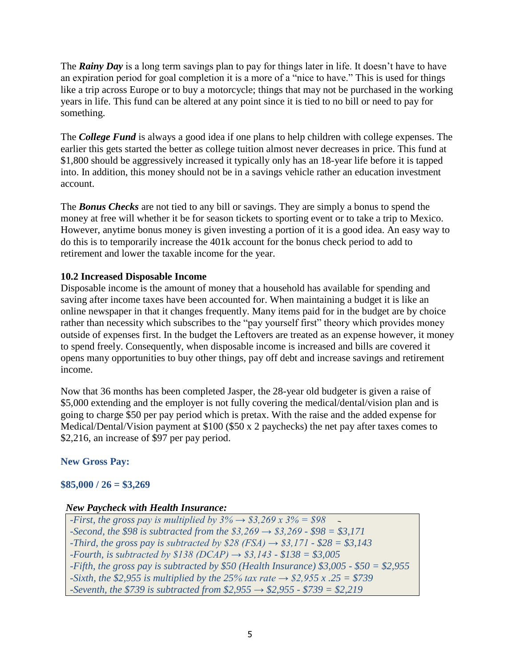The *Rainy Day* is a long term savings plan to pay for things later in life. It doesn't have to have an expiration period for goal completion it is a more of a "nice to have." This is used for things like a trip across Europe or to buy a motorcycle; things that may not be purchased in the working years in life. This fund can be altered at any point since it is tied to no bill or need to pay for something.

The *College Fund* is always a good idea if one plans to help children with college expenses. The earlier this gets started the better as college tuition almost never decreases in price. This fund at \$1,800 should be aggressively increased it typically only has an 18-year life before it is tapped into. In addition, this money should not be in a savings vehicle rather an education investment account.

The *Bonus Checks* are not tied to any bill or savings. They are simply a bonus to spend the money at free will whether it be for season tickets to sporting event or to take a trip to Mexico. However, anytime bonus money is given investing a portion of it is a good idea. An easy way to do this is to temporarily increase the 401k account for the bonus check period to add to retirement and lower the taxable income for the year.

# **10.2 Increased Disposable Income**

Disposable income is the amount of money that a household has available for spending and saving after income taxes have been accounted for. When maintaining a budget it is like an online newspaper in that it changes frequently. Many items paid for in the budget are by choice rather than necessity which subscribes to the "pay yourself first" theory which provides money outside of expenses first. In the budget the Leftovers are treated as an expense however, it money to spend freely. Consequently, when disposable income is increased and bills are covered it opens many opportunities to buy other things, pay off debt and increase savings and retirement income.

Now that 36 months has been completed Jasper, the 28-year old budgeter is given a raise of \$5,000 extending and the employer is not fully covering the medical/dental/vision plan and is going to charge \$50 per pay period which is pretax. With the raise and the added expense for Medical/Dental/Vision payment at \$100 (\$50 x 2 paychecks) the net pay after taxes comes to \$2,216, an increase of \$97 per pay period.

# **New Gross Pay:**

# **\$85,000 / 26 = \$3,269**

# *New Paycheck with Health Insurance:*

*-First, the gross pay is multiplied by*  $3\% \rightarrow $3,269 \times 3\% = $98$  $\rightarrow$ *-Second, the \$98 is subtracted from the \$3,269 → \$3,269 - \$98 = \$3,171 -Third, the gross pay is subtracted by \$28 (FSA)*  $\rightarrow$  *\$3,171*  $\cdot$  *\$28 = \$3,143 -Fourth, is subtracted by \$138 (DCAP) → \$3,143 - \$138 = \$3,005 -Fifth, the gross pay is subtracted by \$50 (Health Insurance) \$3,005 - \$50 = \$2,955 -Sixth, the \$2,955 is multiplied by the 25% tax rate → \$2,955 x .25 = \$739 -Seventh, the \$739 is subtracted from \$2,955 → \$2,955 - \$739 = \$2,219*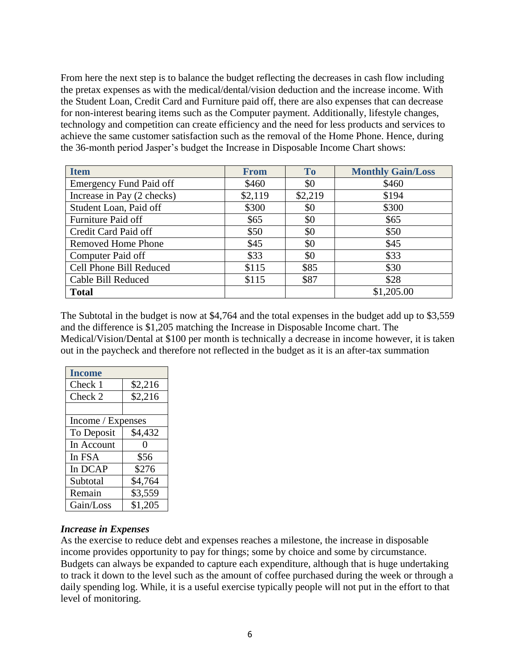From here the next step is to balance the budget reflecting the decreases in cash flow including the pretax expenses as with the medical/dental/vision deduction and the increase income. With the Student Loan, Credit Card and Furniture paid off, there are also expenses that can decrease for non-interest bearing items such as the Computer payment. Additionally, lifestyle changes, technology and competition can create efficiency and the need for less products and services to achieve the same customer satisfaction such as the removal of the Home Phone. Hence, during the 36-month period Jasper's budget the Increase in Disposable Income Chart shows:

| <b>Item</b>                    | <b>From</b> | <b>To</b> | <b>Monthly Gain/Loss</b> |
|--------------------------------|-------------|-----------|--------------------------|
| <b>Emergency Fund Paid off</b> | \$460       | \$0       | \$460                    |
| Increase in Pay (2 checks)     | \$2,119     | \$2,219   | \$194                    |
| Student Loan, Paid off         | \$300       | \$0       | \$300                    |
| Furniture Paid off             | \$65        | \$0       | \$65                     |
| Credit Card Paid off           | \$50        | \$0       | \$50                     |
| <b>Removed Home Phone</b>      | \$45        | \$0       | \$45                     |
| Computer Paid off              | \$33        | \$0       | \$33                     |
| Cell Phone Bill Reduced        | \$115       | \$85      | \$30                     |
| Cable Bill Reduced             | \$115       | \$87      | \$28                     |
| <b>Total</b>                   |             |           | \$1,205.00               |

The Subtotal in the budget is now at \$4,764 and the total expenses in the budget add up to \$3,559 and the difference is \$1,205 matching the Increase in Disposable Income chart. The Medical/Vision/Dental at \$100 per month is technically a decrease in income however, it is taken out in the paycheck and therefore not reflected in the budget as it is an after-tax summation

| <b>Income</b>     |         |
|-------------------|---------|
| Check 1           | \$2,216 |
| Check 2           | \$2,216 |
|                   |         |
| Income / Expenses |         |
| To Deposit        | \$4,432 |
| In Account        |         |
| In FSA            | \$56    |
| In DCAP           | \$276   |
| Subtotal          | \$4,764 |
| Remain            | \$3,559 |
| Gain/Loss         | \$1,205 |

# *Increase in Expenses*

As the exercise to reduce debt and expenses reaches a milestone, the increase in disposable income provides opportunity to pay for things; some by choice and some by circumstance. Budgets can always be expanded to capture each expenditure, although that is huge undertaking to track it down to the level such as the amount of coffee purchased during the week or through a daily spending log. While, it is a useful exercise typically people will not put in the effort to that level of monitoring.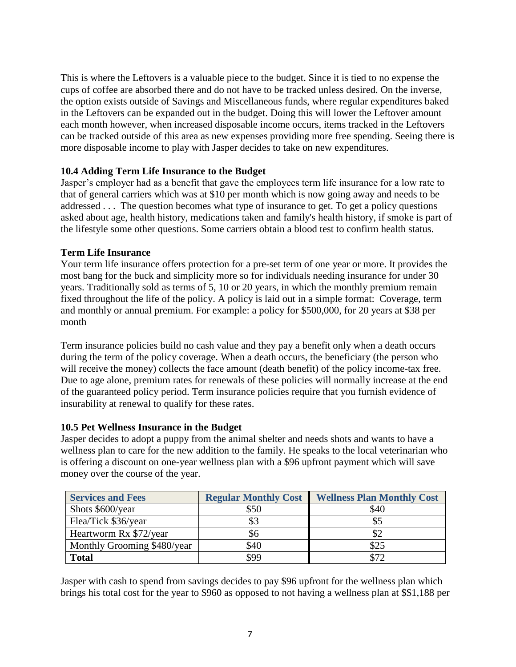This is where the Leftovers is a valuable piece to the budget. Since it is tied to no expense the cups of coffee are absorbed there and do not have to be tracked unless desired. On the inverse, the option exists outside of Savings and Miscellaneous funds, where regular expenditures baked in the Leftovers can be expanded out in the budget. Doing this will lower the Leftover amount each month however, when increased disposable income occurs, items tracked in the Leftovers can be tracked outside of this area as new expenses providing more free spending. Seeing there is more disposable income to play with Jasper decides to take on new expenditures.

# **10.4 Adding Term Life Insurance to the Budget**

Jasper's employer had as a benefit that gave the employees term life insurance for a low rate to that of general carriers which was at \$10 per month which is now going away and needs to be addressed . . . The question becomes what type of insurance to get. To get a policy questions asked about age, health history, medications taken and family's health history, if smoke is part of the lifestyle some other questions. Some carriers obtain a blood test to confirm health status.

# **Term Life Insurance**

Your term life insurance offers protection for a pre-set term of one year or more. It provides the most bang for the buck and simplicity more so for individuals needing insurance for under 30 years. Traditionally sold as terms of 5, 10 or 20 years, in which the monthly premium remain fixed throughout the life of the policy. A policy is laid out in a simple format: Coverage, term and monthly or annual premium. For example: a policy for \$500,000, for 20 years at \$38 per month

Term insurance policies build no cash value and they pay a benefit only when a death occurs during the term of the policy coverage. When a death occurs, the beneficiary (the person who will receive the money) collects the face amount (death benefit) of the policy income-tax free. Due to age alone, premium rates for renewals of these policies will normally increase at the end of the guaranteed policy period. Term insurance policies require that you furnish evidence of insurability at renewal to qualify for these rates.

# **10.5 Pet Wellness Insurance in the Budget**

Jasper decides to adopt a puppy from the animal shelter and needs shots and wants to have a wellness plan to care for the new addition to the family. He speaks to the local veterinarian who is offering a discount on one-year wellness plan with a \$96 upfront payment which will save money over the course of the year.

| <b>Services and Fees</b>    | <b>Regular Monthly Cost</b> | <b>Wellness Plan Monthly Cost</b> |
|-----------------------------|-----------------------------|-----------------------------------|
| Shots \$600/year            | \$50                        | \$40                              |
| Flea/Tick \$36/year         | \$3                         | \$5                               |
| Heartworm Rx \$72/year      | \$6                         | ΦZ                                |
| Monthly Grooming \$480/year | \$40                        | \$25                              |
| <b>Total</b>                | \$99                        | \$72                              |

Jasper with cash to spend from savings decides to pay \$96 upfront for the wellness plan which brings his total cost for the year to \$960 as opposed to not having a wellness plan at \$\$1,188 per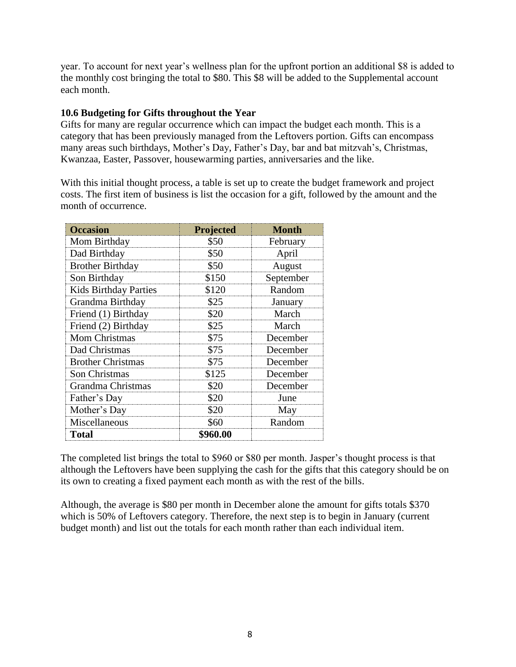year. To account for next year's wellness plan for the upfront portion an additional \$8 is added to the monthly cost bringing the total to \$80. This \$8 will be added to the Supplemental account each month.

# **10.6 Budgeting for Gifts throughout the Year**

Gifts for many are regular occurrence which can impact the budget each month. This is a category that has been previously managed from the Leftovers portion. Gifts can encompass many areas such birthdays, Mother's Day, Father's Day, bar and bat mitzvah's, Christmas, Kwanzaa, Easter, Passover, housewarming parties, anniversaries and the like.

With this initial thought process, a table is set up to create the budget framework and project costs. The first item of business is list the occasion for a gift, followed by the amount and the month of occurrence.

| <b>Occasion</b>              | Projected | <b>Month</b> |
|------------------------------|-----------|--------------|
| Mom Birthday                 | \$50      | February     |
| Dad Birthday                 | \$50      | April        |
| <b>Brother Birthday</b>      | \$50      | August       |
| Son Birthday                 | \$150     | September    |
| <b>Kids Birthday Parties</b> | \$120     | Random       |
| Grandma Birthday             | \$25      | January      |
| Friend (1) Birthday          | \$20      | March        |
| Friend (2) Birthday          | \$25      | March        |
| Mom Christmas                | \$75      | December     |
| Dad Christmas                | \$75      | December     |
| <b>Brother Christmas</b>     | \$75      | December     |
| Son Christmas                | \$125     | December     |
| Grandma Christmas            | \$20      | December     |
| Father's Day                 | \$20      | June         |
| Mother's Day                 | \$20      | May          |
| Miscellaneous                | \$60      | Random       |
| <b>Total</b>                 | \$960.00  |              |

The completed list brings the total to \$960 or \$80 per month. Jasper's thought process is that although the Leftovers have been supplying the cash for the gifts that this category should be on its own to creating a fixed payment each month as with the rest of the bills.

Although, the average is \$80 per month in December alone the amount for gifts totals \$370 which is 50% of Leftovers category. Therefore, the next step is to begin in January (current budget month) and list out the totals for each month rather than each individual item.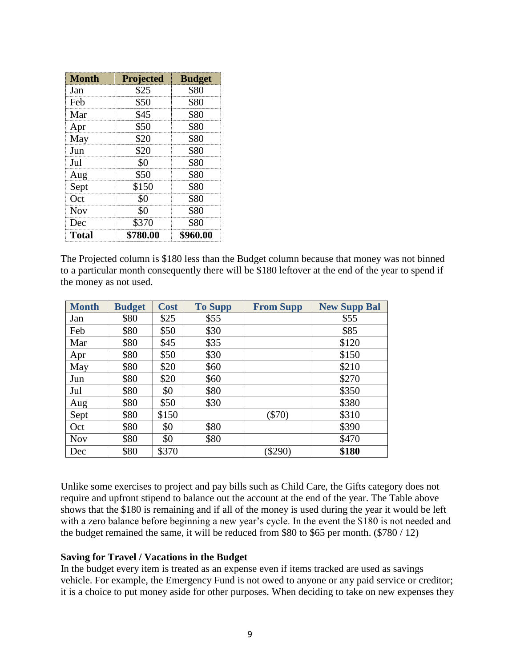| <b>Month</b> | Projected | <b>Budget</b> |
|--------------|-----------|---------------|
| Jan          | \$25      | \$80          |
| Feb          | \$50      | \$80          |
| Mar          | \$45      | \$80          |
| Apr          | \$50      | \$80          |
| May          | \$20      | \$80          |
| Jun          | \$20      | \$80          |
| Jul          | \$0       | \$80          |
| Aug          | \$50      | \$80          |
| Sept         | \$150     | \$80          |
| Oct          | \$0       | \$80          |
| <b>Nov</b>   | \$0       | \$80          |
| Dec          | \$370     | \$80          |
| <b>Total</b> | \$780.00  | \$960.00      |

The Projected column is \$180 less than the Budget column because that money was not binned to a particular month consequently there will be \$180 leftover at the end of the year to spend if the money as not used.

| <b>Month</b> | <b>Budget</b> | <b>Cost</b> | <b>To Supp</b> | <b>From Supp</b> | <b>New Supp Bal</b> |
|--------------|---------------|-------------|----------------|------------------|---------------------|
| Jan          | \$80          | \$25        | \$55           |                  | \$55                |
| Feb          | \$80          | \$50        | \$30           |                  | \$85                |
| Mar          | \$80          | \$45        | \$35           |                  | \$120               |
| Apr          | \$80          | \$50        | \$30           |                  | \$150               |
| May          | \$80          | \$20        | \$60           |                  | \$210               |
| Jun          | \$80          | \$20        | \$60           |                  | \$270               |
| Jul          | \$80          | \$0         | \$80           |                  | \$350               |
| Aug          | \$80          | \$50        | \$30           |                  | \$380               |
| Sept         | \$80          | \$150       |                | $(\$70)$         | \$310               |
| Oct          | \$80          | \$0         | \$80           |                  | \$390               |
| <b>Nov</b>   | \$80          | \$0         | \$80           |                  | \$470               |
| Dec          | \$80          | \$370       |                | \$290)           | \$180               |

Unlike some exercises to project and pay bills such as Child Care, the Gifts category does not require and upfront stipend to balance out the account at the end of the year. The Table above shows that the \$180 is remaining and if all of the money is used during the year it would be left with a zero balance before beginning a new year's cycle. In the event the \$180 is not needed and the budget remained the same, it will be reduced from \$80 to \$65 per month. (\$780 / 12)

# **Saving for Travel / Vacations in the Budget**

In the budget every item is treated as an expense even if items tracked are used as savings vehicle. For example, the Emergency Fund is not owed to anyone or any paid service or creditor; it is a choice to put money aside for other purposes. When deciding to take on new expenses they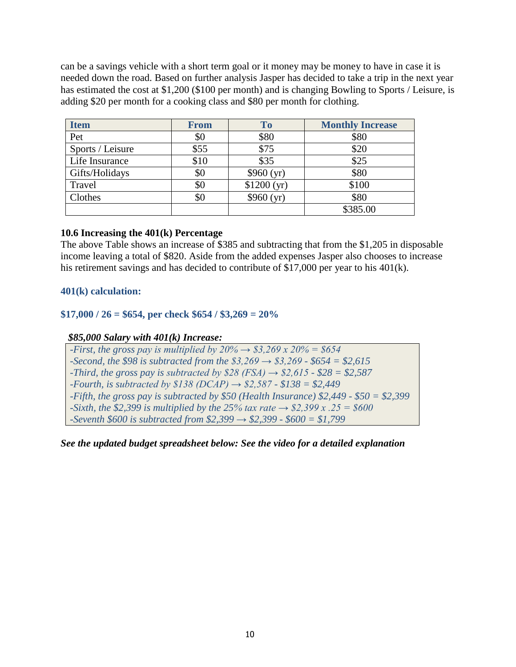can be a savings vehicle with a short term goal or it money may be money to have in case it is needed down the road. Based on further analysis Jasper has decided to take a trip in the next year has estimated the cost at \$1,200 (\$100 per month) and is changing Bowling to Sports / Leisure, is adding \$20 per month for a cooking class and \$80 per month for clothing.

| <b>Item</b>      | <b>From</b> | To         | <b>Monthly Increase</b> |
|------------------|-------------|------------|-------------------------|
| Pet              | \$0         | \$80       | \$80                    |
| Sports / Leisure | \$55        | \$75       | \$20                    |
| Life Insurance   | \$10        | \$35       | \$25                    |
| Gifts/Holidays   | \$0         | \$960(yr)  | \$80                    |
| Travel           | \$0         | \$1200(yr) | \$100                   |
| Clothes          | \$0         | \$960(yr)  | \$80                    |
|                  |             |            | \$385.00                |

# **10.6 Increasing the 401(k) Percentage**

The above Table shows an increase of \$385 and subtracting that from the \$1,205 in disposable income leaving a total of \$820. Aside from the added expenses Jasper also chooses to increase his retirement savings and has decided to contribute of \$17,000 per year to his 401(k).

# **401(k) calculation:**

# **\$17,000 / 26 = \$654, per check \$654 / \$3,269 = 20%**

# *\$85,000 Salary with 401(k) Increase:*

*-First, the gross pay is multiplied by*  $20\% \rightarrow $3,269 \times 20\% = $654$ *-Second, the \$98 is subtracted from the \$3,269 → \$3,269 - \$654 = \$2,615 -Third, the gross pay is subtracted by \$28 (FSA)*  $\rightarrow$  *\$2,615*  $\cdot$  *\$28 = \$2,587 -Fourth, is subtracted by \$138 (DCAP) → \$2,587 - \$138 = \$2,449 -Fifth, the gross pay is subtracted by \$50 (Health Insurance) \$2,449 - \$50 = \$2,399 -Sixth, the \$2,399 is multiplied by the 25% tax rate → \$2,399 x .25 = \$600 -Seventh \$600 is subtracted from \$2,399 → \$2,399 - \$600 = \$1,799*

*See the updated budget spreadsheet below: See the video for a detailed explanation*